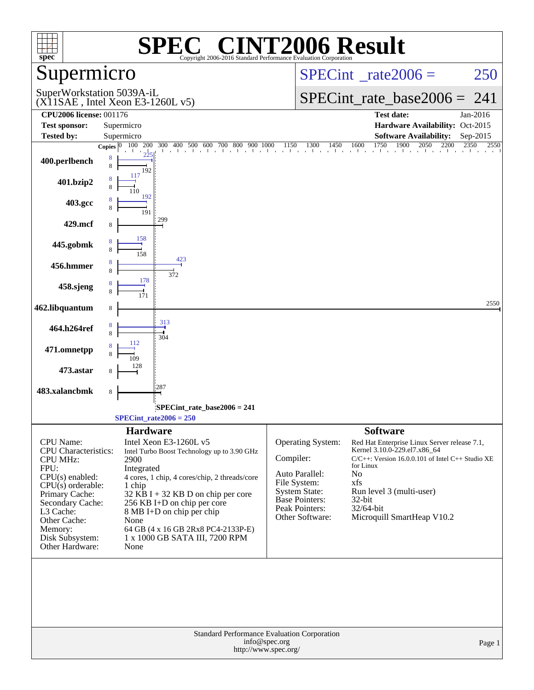| <b>SPEC<sup>®</sup> CINT2006 Result</b><br>$spec*$<br>Copyright 2006-2016 Standard Performance Evaluation Corporation |                                                                                      |                                                                                                                                                                                                                                                                                          |  |  |  |  |
|-----------------------------------------------------------------------------------------------------------------------|--------------------------------------------------------------------------------------|------------------------------------------------------------------------------------------------------------------------------------------------------------------------------------------------------------------------------------------------------------------------------------------|--|--|--|--|
| Supermicro                                                                                                            |                                                                                      | $SPECint^{\circ}$ <sub>_rate2006</sub> =<br>250                                                                                                                                                                                                                                          |  |  |  |  |
| SuperWorkstation 5039A-iL                                                                                             | $(X11SAE$ , Intel Xeon E3-1260L v5)                                                  | $SPECint_rate_base2006 = 241$                                                                                                                                                                                                                                                            |  |  |  |  |
| <b>CPU2006 license: 001176</b><br><b>Test sponsor:</b>                                                                | Supermicro                                                                           | <b>Test date:</b><br>Jan-2016<br>Hardware Availability: Oct-2015                                                                                                                                                                                                                         |  |  |  |  |
| Tested by:                                                                                                            | Supermicro                                                                           | <b>Software Availability:</b><br>Sep-2015                                                                                                                                                                                                                                                |  |  |  |  |
|                                                                                                                       |                                                                                      | <b>Copies</b> $\begin{bmatrix} 0 & 100 & 200 & 300 & 400 & 500 & 600 & 700 & 800 & 900 & 1000 & 1150 & 1300 & 1450 & 1600 & 1750 & 1900 & 2050 & 2200 & 2350 & 2550 & 2550 & 2550 & 2550 & 2550 & 2550 & 2550 & 2550 & 2550 & 2550 & 2550 & 2550 & 2550 & 2550 & 2550 & 2550 & $<br>2550 |  |  |  |  |
| 400.perlbench                                                                                                         | 8<br>8<br>192                                                                        |                                                                                                                                                                                                                                                                                          |  |  |  |  |
| 401.bzip2                                                                                                             | 117<br>192                                                                           |                                                                                                                                                                                                                                                                                          |  |  |  |  |
| 403.gcc                                                                                                               | 191                                                                                  |                                                                                                                                                                                                                                                                                          |  |  |  |  |
| 429.mcf                                                                                                               | 299                                                                                  |                                                                                                                                                                                                                                                                                          |  |  |  |  |
| 445.gobmk                                                                                                             | 158<br>8<br>158                                                                      |                                                                                                                                                                                                                                                                                          |  |  |  |  |
| 456.hmmer                                                                                                             | 423<br>8<br>8<br>372                                                                 |                                                                                                                                                                                                                                                                                          |  |  |  |  |
| 458.sjeng                                                                                                             | 178<br>171                                                                           |                                                                                                                                                                                                                                                                                          |  |  |  |  |
| 462.libquantum                                                                                                        | 8                                                                                    | 2550                                                                                                                                                                                                                                                                                     |  |  |  |  |
| 464.h264ref                                                                                                           | 313<br>8<br>8<br>304                                                                 |                                                                                                                                                                                                                                                                                          |  |  |  |  |
| 471.omnetpp                                                                                                           | 112                                                                                  |                                                                                                                                                                                                                                                                                          |  |  |  |  |
| 473.astar                                                                                                             |                                                                                      |                                                                                                                                                                                                                                                                                          |  |  |  |  |
| 483.xalancbmk                                                                                                         | 287<br>8                                                                             |                                                                                                                                                                                                                                                                                          |  |  |  |  |
|                                                                                                                       | $SPECint_rate_base2006 = 241$<br>$SPECint_rate2006 = 250$                            |                                                                                                                                                                                                                                                                                          |  |  |  |  |
|                                                                                                                       | <b>Hardware</b>                                                                      | <b>Software</b>                                                                                                                                                                                                                                                                          |  |  |  |  |
| <b>CPU</b> Name:                                                                                                      | Intel Xeon E3-1260L v5                                                               | <b>Operating System:</b><br>Red Hat Enterprise Linux Server release 7.1,                                                                                                                                                                                                                 |  |  |  |  |
| <b>CPU</b> Characteristics:                                                                                           | Intel Turbo Boost Technology up to 3.90 GHz                                          | Kernel 3.10.0-229.el7.x86_64<br>Compiler:<br>$C/C++$ : Version 16.0.0.101 of Intel $C++$ Studio XE                                                                                                                                                                                       |  |  |  |  |
| <b>CPU MHz:</b><br>FPU:                                                                                               | 2900<br>Integrated                                                                   | for Linux                                                                                                                                                                                                                                                                                |  |  |  |  |
| $CPU(s)$ enabled:                                                                                                     | 4 cores, 1 chip, 4 cores/chip, 2 threads/core                                        | Auto Parallel:<br>No                                                                                                                                                                                                                                                                     |  |  |  |  |
| $CPU(s)$ orderable:                                                                                                   | 1 chip                                                                               | File System:<br>xfs<br><b>System State:</b><br>Run level 3 (multi-user)                                                                                                                                                                                                                  |  |  |  |  |
| Primary Cache:<br>Secondary Cache:                                                                                    | $32$ KB I + 32 KB D on chip per core<br>256 KB I+D on chip per core                  | <b>Base Pointers:</b><br>$32$ -bit                                                                                                                                                                                                                                                       |  |  |  |  |
| L3 Cache:                                                                                                             | 8 MB I+D on chip per chip                                                            | Peak Pointers:<br>32/64-bit                                                                                                                                                                                                                                                              |  |  |  |  |
| Other Cache:                                                                                                          | None                                                                                 | Microquill SmartHeap V10.2<br>Other Software:                                                                                                                                                                                                                                            |  |  |  |  |
| Memory:                                                                                                               | 64 GB (4 x 16 GB 2Rx8 PC4-2133P-E)                                                   |                                                                                                                                                                                                                                                                                          |  |  |  |  |
| Disk Subsystem:<br>Other Hardware:                                                                                    | 1 x 1000 GB SATA III, 7200 RPM<br>None                                               |                                                                                                                                                                                                                                                                                          |  |  |  |  |
|                                                                                                                       |                                                                                      |                                                                                                                                                                                                                                                                                          |  |  |  |  |
|                                                                                                                       | Standard Performance Evaluation Corporation<br>info@spec.org<br>http://www.spec.org/ | Page 1                                                                                                                                                                                                                                                                                   |  |  |  |  |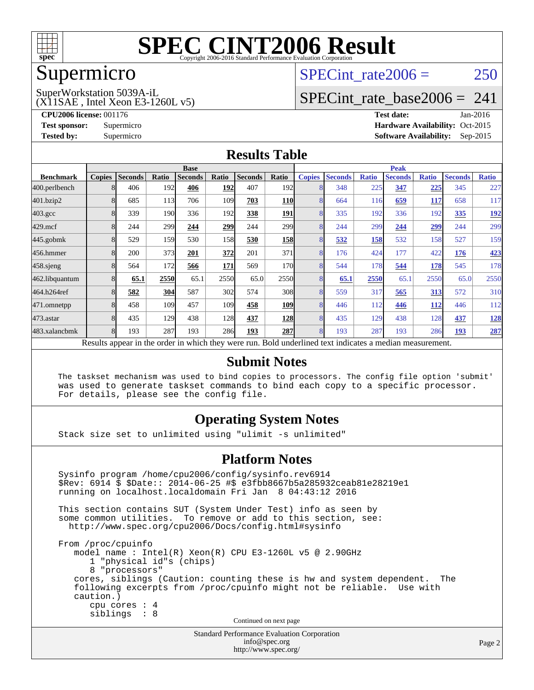

#### Supermicro

### SPECint rate $2006 = 250$

(X11SAE , Intel Xeon E3-1260L v5) SuperWorkstation 5039A-iL

[SPECint\\_rate\\_base2006 =](http://www.spec.org/auto/cpu2006/Docs/result-fields.html#SPECintratebase2006) 241

**[CPU2006 license:](http://www.spec.org/auto/cpu2006/Docs/result-fields.html#CPU2006license)** 001176 **[Test date:](http://www.spec.org/auto/cpu2006/Docs/result-fields.html#Testdate)** Jan-2016 **[Test sponsor:](http://www.spec.org/auto/cpu2006/Docs/result-fields.html#Testsponsor)** Supermicro Supermicro **[Hardware Availability:](http://www.spec.org/auto/cpu2006/Docs/result-fields.html#HardwareAvailability)** Oct-2015 **[Tested by:](http://www.spec.org/auto/cpu2006/Docs/result-fields.html#Testedby)** Supermicro **Supermicro [Software Availability:](http://www.spec.org/auto/cpu2006/Docs/result-fields.html#SoftwareAvailability)** Sep-2015

#### **[Results Table](http://www.spec.org/auto/cpu2006/Docs/result-fields.html#ResultsTable)**

|                                                                                                          | <b>Base</b>   |                |       |                |       |                | <b>Peak</b>      |               |                |              |                |              |                |              |
|----------------------------------------------------------------------------------------------------------|---------------|----------------|-------|----------------|-------|----------------|------------------|---------------|----------------|--------------|----------------|--------------|----------------|--------------|
| <b>Benchmark</b>                                                                                         | <b>Copies</b> | <b>Seconds</b> | Ratio | <b>Seconds</b> | Ratio | <b>Seconds</b> | Ratio            | <b>Copies</b> | <b>Seconds</b> | <b>Ratio</b> | <b>Seconds</b> | <b>Ratio</b> | <b>Seconds</b> | <b>Ratio</b> |
| 400.perlbench                                                                                            |               | 406            | 192   | 406            | 192   | 407            | 192l             | 8             | 348            | 225          | 347            | 225          | 345            | 227          |
| 401.bzip2                                                                                                |               | 685            | 113   | 706            | 109   | 703            | <b>110</b>       | 8             | 664            | 116          | 659            | <b>117</b>   | 658            | 117          |
| $403.\mathrm{gcc}$                                                                                       |               | 339            | 190   | 336            | 192   | 338            | 191              | 8             | 335            | 192          | 336            | 192          | 335            | <u>192</u>   |
| $429$ .mcf                                                                                               |               | 244            | 299   | 244            | 299   | 244            | 299 <sub>1</sub> | 8             | 244            | 299          | 244            | <u>299</u>   | 244            | 299          |
| $445$ .gobm $k$                                                                                          |               | 529            | 159   | 530            | 158   | 530            | <b>158</b>       | 8             | 532            | 158          | 532            | 158          | 527            | 159          |
| 456.hmmer                                                                                                |               | 200            | 373   | 201            | 372   | 201            | 371              | 8             | 176            | 424          | 177            | 422          | 176            | 423          |
| $458$ .sjeng                                                                                             | 8             | 564            | 172   | 566            | 171   | 569            | 170              | 8             | 544            | 178          | 544            | 178          | 545            | 178          |
| 462.libquantum                                                                                           |               | 65.1           | 2550  | 65.1           | 2550  | 65.0           | 2550             | 8             | 65.1           | 2550         | 65.1           | 2550         | 65.0           | 2550         |
| 464.h264ref                                                                                              |               | 582            | 304   | 587            | 302   | 574            | 308              | 8             | 559            | 317          | 565            | <u>313</u>   | 572            | 310          |
| 471.omnetpp                                                                                              |               | 458            | 109   | 457            | 109   | 458            | <b>109</b>       | 8             | 446            | 112          | 446            | 112          | 446            | 112          |
| 473.astar                                                                                                | 8             | 435            | 129   | 438            | 128   | 437            | <b>128</b>       | 8             | 435            | 129          | 438            | 128          | 437            | <u>128</u>   |
| 483.xalancbmk                                                                                            |               | 193            | 287   | 193            | 286   | 193            | <b>287</b>       | 8             | 193            | 287          | 193            | 286          | 193            | 287          |
| Results appear in the order in which they were run. Bold underlined text indicates a median measurement. |               |                |       |                |       |                |                  |               |                |              |                |              |                |              |

#### **[Submit Notes](http://www.spec.org/auto/cpu2006/Docs/result-fields.html#SubmitNotes)**

 The taskset mechanism was used to bind copies to processors. The config file option 'submit' was used to generate taskset commands to bind each copy to a specific processor. For details, please see the config file.

#### **[Operating System Notes](http://www.spec.org/auto/cpu2006/Docs/result-fields.html#OperatingSystemNotes)**

Stack size set to unlimited using "ulimit -s unlimited"

#### **[Platform Notes](http://www.spec.org/auto/cpu2006/Docs/result-fields.html#PlatformNotes)**

Standard Performance Evaluation Corporation Sysinfo program /home/cpu2006/config/sysinfo.rev6914 \$Rev: 6914 \$ \$Date:: 2014-06-25 #\$ e3fbb8667b5a285932ceab81e28219e1 running on localhost.localdomain Fri Jan 8 04:43:12 2016 This section contains SUT (System Under Test) info as seen by some common utilities. To remove or add to this section, see: <http://www.spec.org/cpu2006/Docs/config.html#sysinfo> From /proc/cpuinfo model name : Intel(R) Xeon(R) CPU E3-1260L v5 @ 2.90GHz 1 "physical id"s (chips) 8 "processors" cores, siblings (Caution: counting these is hw and system dependent. The following excerpts from /proc/cpuinfo might not be reliable. Use with caution.) cpu cores : 4 siblings : 8 Continued on next page

[info@spec.org](mailto:info@spec.org) <http://www.spec.org/>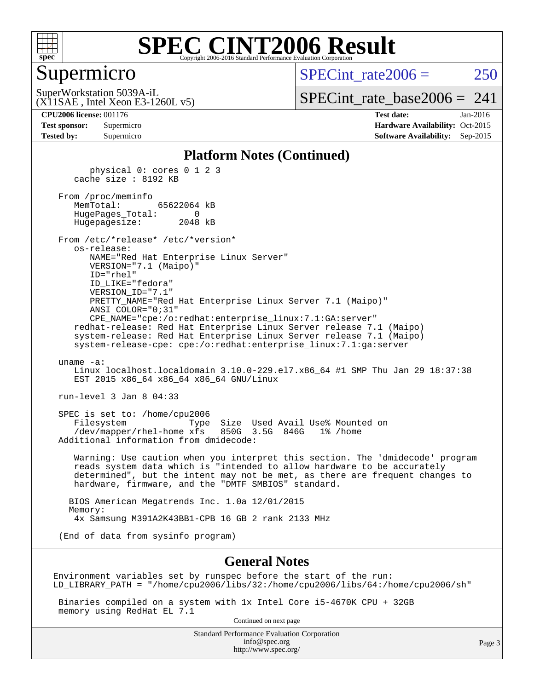

#### Supermicro

 $SPECint rate2006 = 250$ 

(X11SAE , Intel Xeon E3-1260L v5) SuperWorkstation 5039A-iL

[SPECint\\_rate\\_base2006 =](http://www.spec.org/auto/cpu2006/Docs/result-fields.html#SPECintratebase2006)  $241$ 

**[CPU2006 license:](http://www.spec.org/auto/cpu2006/Docs/result-fields.html#CPU2006license)** 001176 **[Test date:](http://www.spec.org/auto/cpu2006/Docs/result-fields.html#Testdate)** Jan-2016 **[Test sponsor:](http://www.spec.org/auto/cpu2006/Docs/result-fields.html#Testsponsor)** Supermicro Supermicro **[Hardware Availability:](http://www.spec.org/auto/cpu2006/Docs/result-fields.html#HardwareAvailability)** Oct-2015 **[Tested by:](http://www.spec.org/auto/cpu2006/Docs/result-fields.html#Testedby)** Supermicro **Supermicro [Software Availability:](http://www.spec.org/auto/cpu2006/Docs/result-fields.html#SoftwareAvailability)** Sep-2015

#### **[Platform Notes \(Continued\)](http://www.spec.org/auto/cpu2006/Docs/result-fields.html#PlatformNotes)**

 physical 0: cores 0 1 2 3 cache size : 8192 KB From /proc/meminfo MemTotal: 65622064 kB HugePages\_Total: 0 Hugepagesize: 2048 kB From /etc/\*release\* /etc/\*version\* os-release: NAME="Red Hat Enterprise Linux Server" VERSION="7.1 (Maipo)" ID="rhel" ID\_LIKE="fedora" VERSION\_ID="7.1" PRETTY\_NAME="Red Hat Enterprise Linux Server 7.1 (Maipo)" ANSI\_COLOR="0;31" CPE\_NAME="cpe:/o:redhat:enterprise\_linux:7.1:GA:server" redhat-release: Red Hat Enterprise Linux Server release 7.1 (Maipo) system-release: Red Hat Enterprise Linux Server release 7.1 (Maipo) system-release-cpe: cpe:/o:redhat:enterprise\_linux:7.1:ga:server uname -a: Linux localhost.localdomain 3.10.0-229.el7.x86\_64 #1 SMP Thu Jan 29 18:37:38 EST 2015 x86 64 x86 64 x86 64 GNU/Linux run-level 3 Jan 8 04:33 SPEC is set to: /home/cpu2006 Filesystem Type Size Used Avail Use% Mounted on /dev/mapper/rhel-home xfs 850G 3.5G 846G 1% /home Additional information from dmidecode: Warning: Use caution when you interpret this section. The 'dmidecode' program reads system data which is "intended to allow hardware to be accurately determined", but the intent may not be met, as there are frequent changes to hardware, firmware, and the "DMTF SMBIOS" standard. BIOS American Megatrends Inc. 1.0a 12/01/2015 Memory: 4x Samsung M391A2K43BB1-CPB 16 GB 2 rank 2133 MHz (End of data from sysinfo program)

#### **[General Notes](http://www.spec.org/auto/cpu2006/Docs/result-fields.html#GeneralNotes)**

Environment variables set by runspec before the start of the run: LD\_LIBRARY\_PATH = "/home/cpu2006/libs/32:/home/cpu2006/libs/64:/home/cpu2006/sh"

 Binaries compiled on a system with 1x Intel Core i5-4670K CPU + 32GB memory using RedHat EL 7.1

Continued on next page

Standard Performance Evaluation Corporation [info@spec.org](mailto:info@spec.org) <http://www.spec.org/>

Page 3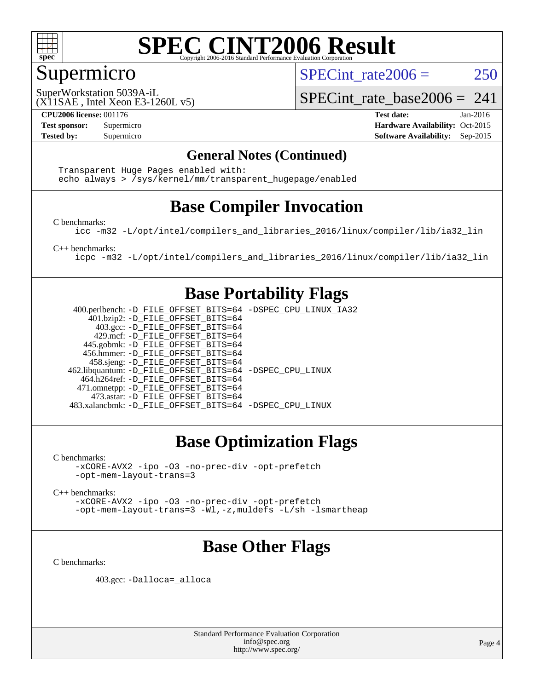

### Supermicro

SPECint rate $2006 = 250$ 

(X11SAE , Intel Xeon E3-1260L v5) SuperWorkstation 5039A-iL

SPECint rate base2006 =  $241$ 

**[CPU2006 license:](http://www.spec.org/auto/cpu2006/Docs/result-fields.html#CPU2006license)** 001176 **[Test date:](http://www.spec.org/auto/cpu2006/Docs/result-fields.html#Testdate)** Jan-2016 **[Test sponsor:](http://www.spec.org/auto/cpu2006/Docs/result-fields.html#Testsponsor)** Supermicro Supermicro **[Hardware Availability:](http://www.spec.org/auto/cpu2006/Docs/result-fields.html#HardwareAvailability)** Oct-2015 **[Tested by:](http://www.spec.org/auto/cpu2006/Docs/result-fields.html#Testedby)** Supermicro **Supermicro [Software Availability:](http://www.spec.org/auto/cpu2006/Docs/result-fields.html#SoftwareAvailability)** Sep-2015

#### **[General Notes \(Continued\)](http://www.spec.org/auto/cpu2006/Docs/result-fields.html#GeneralNotes)**

 Transparent Huge Pages enabled with: echo always > /sys/kernel/mm/transparent\_hugepage/enabled

### **[Base Compiler Invocation](http://www.spec.org/auto/cpu2006/Docs/result-fields.html#BaseCompilerInvocation)**

[C benchmarks](http://www.spec.org/auto/cpu2006/Docs/result-fields.html#Cbenchmarks):

[icc -m32 -L/opt/intel/compilers\\_and\\_libraries\\_2016/linux/compiler/lib/ia32\\_lin](http://www.spec.org/cpu2006/results/res2016q1/cpu2006-20160120-38757.flags.html#user_CCbase_intel_icc_e10256ba5924b668798078a321b0cb3f)

[C++ benchmarks:](http://www.spec.org/auto/cpu2006/Docs/result-fields.html#CXXbenchmarks)

[icpc -m32 -L/opt/intel/compilers\\_and\\_libraries\\_2016/linux/compiler/lib/ia32\\_lin](http://www.spec.org/cpu2006/results/res2016q1/cpu2006-20160120-38757.flags.html#user_CXXbase_intel_icpc_b4f50a394bdb4597aa5879c16bc3f5c5)

#### **[Base Portability Flags](http://www.spec.org/auto/cpu2006/Docs/result-fields.html#BasePortabilityFlags)**

 400.perlbench: [-D\\_FILE\\_OFFSET\\_BITS=64](http://www.spec.org/cpu2006/results/res2016q1/cpu2006-20160120-38757.flags.html#user_basePORTABILITY400_perlbench_file_offset_bits_64_438cf9856305ebd76870a2c6dc2689ab) [-DSPEC\\_CPU\\_LINUX\\_IA32](http://www.spec.org/cpu2006/results/res2016q1/cpu2006-20160120-38757.flags.html#b400.perlbench_baseCPORTABILITY_DSPEC_CPU_LINUX_IA32) 401.bzip2: [-D\\_FILE\\_OFFSET\\_BITS=64](http://www.spec.org/cpu2006/results/res2016q1/cpu2006-20160120-38757.flags.html#user_basePORTABILITY401_bzip2_file_offset_bits_64_438cf9856305ebd76870a2c6dc2689ab) 403.gcc: [-D\\_FILE\\_OFFSET\\_BITS=64](http://www.spec.org/cpu2006/results/res2016q1/cpu2006-20160120-38757.flags.html#user_basePORTABILITY403_gcc_file_offset_bits_64_438cf9856305ebd76870a2c6dc2689ab) 429.mcf: [-D\\_FILE\\_OFFSET\\_BITS=64](http://www.spec.org/cpu2006/results/res2016q1/cpu2006-20160120-38757.flags.html#user_basePORTABILITY429_mcf_file_offset_bits_64_438cf9856305ebd76870a2c6dc2689ab) 445.gobmk: [-D\\_FILE\\_OFFSET\\_BITS=64](http://www.spec.org/cpu2006/results/res2016q1/cpu2006-20160120-38757.flags.html#user_basePORTABILITY445_gobmk_file_offset_bits_64_438cf9856305ebd76870a2c6dc2689ab) 456.hmmer: [-D\\_FILE\\_OFFSET\\_BITS=64](http://www.spec.org/cpu2006/results/res2016q1/cpu2006-20160120-38757.flags.html#user_basePORTABILITY456_hmmer_file_offset_bits_64_438cf9856305ebd76870a2c6dc2689ab) 458.sjeng: [-D\\_FILE\\_OFFSET\\_BITS=64](http://www.spec.org/cpu2006/results/res2016q1/cpu2006-20160120-38757.flags.html#user_basePORTABILITY458_sjeng_file_offset_bits_64_438cf9856305ebd76870a2c6dc2689ab) 462.libquantum: [-D\\_FILE\\_OFFSET\\_BITS=64](http://www.spec.org/cpu2006/results/res2016q1/cpu2006-20160120-38757.flags.html#user_basePORTABILITY462_libquantum_file_offset_bits_64_438cf9856305ebd76870a2c6dc2689ab) [-DSPEC\\_CPU\\_LINUX](http://www.spec.org/cpu2006/results/res2016q1/cpu2006-20160120-38757.flags.html#b462.libquantum_baseCPORTABILITY_DSPEC_CPU_LINUX) 464.h264ref: [-D\\_FILE\\_OFFSET\\_BITS=64](http://www.spec.org/cpu2006/results/res2016q1/cpu2006-20160120-38757.flags.html#user_basePORTABILITY464_h264ref_file_offset_bits_64_438cf9856305ebd76870a2c6dc2689ab) 471.omnetpp: [-D\\_FILE\\_OFFSET\\_BITS=64](http://www.spec.org/cpu2006/results/res2016q1/cpu2006-20160120-38757.flags.html#user_basePORTABILITY471_omnetpp_file_offset_bits_64_438cf9856305ebd76870a2c6dc2689ab) 473.astar: [-D\\_FILE\\_OFFSET\\_BITS=64](http://www.spec.org/cpu2006/results/res2016q1/cpu2006-20160120-38757.flags.html#user_basePORTABILITY473_astar_file_offset_bits_64_438cf9856305ebd76870a2c6dc2689ab) 483.xalancbmk: [-D\\_FILE\\_OFFSET\\_BITS=64](http://www.spec.org/cpu2006/results/res2016q1/cpu2006-20160120-38757.flags.html#user_basePORTABILITY483_xalancbmk_file_offset_bits_64_438cf9856305ebd76870a2c6dc2689ab) [-DSPEC\\_CPU\\_LINUX](http://www.spec.org/cpu2006/results/res2016q1/cpu2006-20160120-38757.flags.html#b483.xalancbmk_baseCXXPORTABILITY_DSPEC_CPU_LINUX)

### **[Base Optimization Flags](http://www.spec.org/auto/cpu2006/Docs/result-fields.html#BaseOptimizationFlags)**

[C benchmarks](http://www.spec.org/auto/cpu2006/Docs/result-fields.html#Cbenchmarks):

[-xCORE-AVX2](http://www.spec.org/cpu2006/results/res2016q1/cpu2006-20160120-38757.flags.html#user_CCbase_f-xAVX2_5f5fc0cbe2c9f62c816d3e45806c70d7) [-ipo](http://www.spec.org/cpu2006/results/res2016q1/cpu2006-20160120-38757.flags.html#user_CCbase_f-ipo) [-O3](http://www.spec.org/cpu2006/results/res2016q1/cpu2006-20160120-38757.flags.html#user_CCbase_f-O3) [-no-prec-div](http://www.spec.org/cpu2006/results/res2016q1/cpu2006-20160120-38757.flags.html#user_CCbase_f-no-prec-div) [-opt-prefetch](http://www.spec.org/cpu2006/results/res2016q1/cpu2006-20160120-38757.flags.html#user_CCbase_f-opt-prefetch) [-opt-mem-layout-trans=3](http://www.spec.org/cpu2006/results/res2016q1/cpu2006-20160120-38757.flags.html#user_CCbase_f-opt-mem-layout-trans_a7b82ad4bd7abf52556d4961a2ae94d5)

[C++ benchmarks:](http://www.spec.org/auto/cpu2006/Docs/result-fields.html#CXXbenchmarks)

[-xCORE-AVX2](http://www.spec.org/cpu2006/results/res2016q1/cpu2006-20160120-38757.flags.html#user_CXXbase_f-xAVX2_5f5fc0cbe2c9f62c816d3e45806c70d7) [-ipo](http://www.spec.org/cpu2006/results/res2016q1/cpu2006-20160120-38757.flags.html#user_CXXbase_f-ipo) [-O3](http://www.spec.org/cpu2006/results/res2016q1/cpu2006-20160120-38757.flags.html#user_CXXbase_f-O3) [-no-prec-div](http://www.spec.org/cpu2006/results/res2016q1/cpu2006-20160120-38757.flags.html#user_CXXbase_f-no-prec-div) [-opt-prefetch](http://www.spec.org/cpu2006/results/res2016q1/cpu2006-20160120-38757.flags.html#user_CXXbase_f-opt-prefetch) [-opt-mem-layout-trans=3](http://www.spec.org/cpu2006/results/res2016q1/cpu2006-20160120-38757.flags.html#user_CXXbase_f-opt-mem-layout-trans_a7b82ad4bd7abf52556d4961a2ae94d5) [-Wl,-z,muldefs](http://www.spec.org/cpu2006/results/res2016q1/cpu2006-20160120-38757.flags.html#user_CXXbase_link_force_multiple1_74079c344b956b9658436fd1b6dd3a8a) [-L/sh -lsmartheap](http://www.spec.org/cpu2006/results/res2016q1/cpu2006-20160120-38757.flags.html#user_CXXbase_SmartHeap_32f6c82aa1ed9c52345d30cf6e4a0499)

### **[Base Other Flags](http://www.spec.org/auto/cpu2006/Docs/result-fields.html#BaseOtherFlags)**

[C benchmarks](http://www.spec.org/auto/cpu2006/Docs/result-fields.html#Cbenchmarks):

403.gcc: [-Dalloca=\\_alloca](http://www.spec.org/cpu2006/results/res2016q1/cpu2006-20160120-38757.flags.html#b403.gcc_baseEXTRA_CFLAGS_Dalloca_be3056838c12de2578596ca5467af7f3)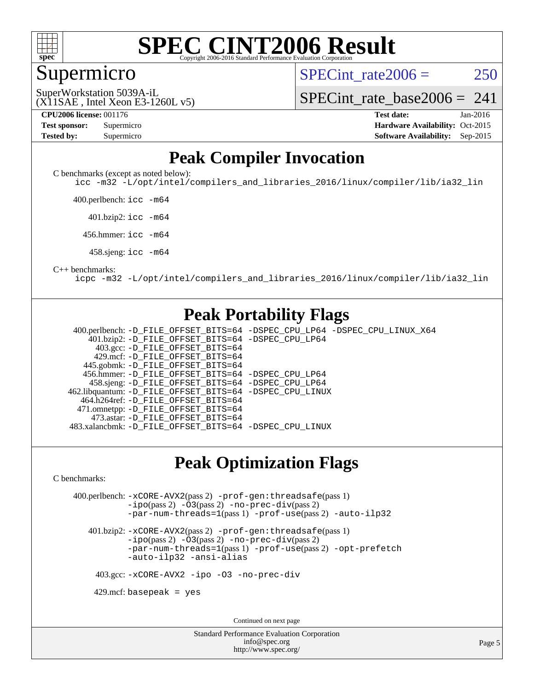

#### Supermicro

SPECint rate $2006 = 250$ 

(X11SAE , Intel Xeon E3-1260L v5) SuperWorkstation 5039A-iL

[SPECint\\_rate\\_base2006 =](http://www.spec.org/auto/cpu2006/Docs/result-fields.html#SPECintratebase2006)  $241$ 

**[CPU2006 license:](http://www.spec.org/auto/cpu2006/Docs/result-fields.html#CPU2006license)** 001176 **[Test date:](http://www.spec.org/auto/cpu2006/Docs/result-fields.html#Testdate)** Jan-2016 **[Test sponsor:](http://www.spec.org/auto/cpu2006/Docs/result-fields.html#Testsponsor)** Supermicro Supermicro **[Hardware Availability:](http://www.spec.org/auto/cpu2006/Docs/result-fields.html#HardwareAvailability)** Oct-2015 **[Tested by:](http://www.spec.org/auto/cpu2006/Docs/result-fields.html#Testedby)** Supermicro **Supermicro [Software Availability:](http://www.spec.org/auto/cpu2006/Docs/result-fields.html#SoftwareAvailability)** Sep-2015

#### **[Peak Compiler Invocation](http://www.spec.org/auto/cpu2006/Docs/result-fields.html#PeakCompilerInvocation)**

[C benchmarks \(except as noted below\)](http://www.spec.org/auto/cpu2006/Docs/result-fields.html#Cbenchmarksexceptasnotedbelow):

[icc -m32 -L/opt/intel/compilers\\_and\\_libraries\\_2016/linux/compiler/lib/ia32\\_lin](http://www.spec.org/cpu2006/results/res2016q1/cpu2006-20160120-38757.flags.html#user_CCpeak_intel_icc_e10256ba5924b668798078a321b0cb3f)

400.perlbench: [icc -m64](http://www.spec.org/cpu2006/results/res2016q1/cpu2006-20160120-38757.flags.html#user_peakCCLD400_perlbench_intel_icc_64bit_bda6cc9af1fdbb0edc3795bac97ada53)

401.bzip2: [icc -m64](http://www.spec.org/cpu2006/results/res2016q1/cpu2006-20160120-38757.flags.html#user_peakCCLD401_bzip2_intel_icc_64bit_bda6cc9af1fdbb0edc3795bac97ada53)

456.hmmer: [icc -m64](http://www.spec.org/cpu2006/results/res2016q1/cpu2006-20160120-38757.flags.html#user_peakCCLD456_hmmer_intel_icc_64bit_bda6cc9af1fdbb0edc3795bac97ada53)

458.sjeng: [icc -m64](http://www.spec.org/cpu2006/results/res2016q1/cpu2006-20160120-38757.flags.html#user_peakCCLD458_sjeng_intel_icc_64bit_bda6cc9af1fdbb0edc3795bac97ada53)

#### [C++ benchmarks:](http://www.spec.org/auto/cpu2006/Docs/result-fields.html#CXXbenchmarks)

[icpc -m32 -L/opt/intel/compilers\\_and\\_libraries\\_2016/linux/compiler/lib/ia32\\_lin](http://www.spec.org/cpu2006/results/res2016q1/cpu2006-20160120-38757.flags.html#user_CXXpeak_intel_icpc_b4f50a394bdb4597aa5879c16bc3f5c5)

#### **[Peak Portability Flags](http://www.spec.org/auto/cpu2006/Docs/result-fields.html#PeakPortabilityFlags)**

 400.perlbench: [-D\\_FILE\\_OFFSET\\_BITS=64](http://www.spec.org/cpu2006/results/res2016q1/cpu2006-20160120-38757.flags.html#user_peakPORTABILITY400_perlbench_file_offset_bits_64_438cf9856305ebd76870a2c6dc2689ab) [-DSPEC\\_CPU\\_LP64](http://www.spec.org/cpu2006/results/res2016q1/cpu2006-20160120-38757.flags.html#b400.perlbench_peakCPORTABILITY_DSPEC_CPU_LP64) [-DSPEC\\_CPU\\_LINUX\\_X64](http://www.spec.org/cpu2006/results/res2016q1/cpu2006-20160120-38757.flags.html#b400.perlbench_peakCPORTABILITY_DSPEC_CPU_LINUX_X64) 401.bzip2: [-D\\_FILE\\_OFFSET\\_BITS=64](http://www.spec.org/cpu2006/results/res2016q1/cpu2006-20160120-38757.flags.html#user_peakPORTABILITY401_bzip2_file_offset_bits_64_438cf9856305ebd76870a2c6dc2689ab) [-DSPEC\\_CPU\\_LP64](http://www.spec.org/cpu2006/results/res2016q1/cpu2006-20160120-38757.flags.html#suite_peakCPORTABILITY401_bzip2_DSPEC_CPU_LP64) 403.gcc: [-D\\_FILE\\_OFFSET\\_BITS=64](http://www.spec.org/cpu2006/results/res2016q1/cpu2006-20160120-38757.flags.html#user_peakPORTABILITY403_gcc_file_offset_bits_64_438cf9856305ebd76870a2c6dc2689ab) 429.mcf: [-D\\_FILE\\_OFFSET\\_BITS=64](http://www.spec.org/cpu2006/results/res2016q1/cpu2006-20160120-38757.flags.html#user_peakPORTABILITY429_mcf_file_offset_bits_64_438cf9856305ebd76870a2c6dc2689ab) 445.gobmk: [-D\\_FILE\\_OFFSET\\_BITS=64](http://www.spec.org/cpu2006/results/res2016q1/cpu2006-20160120-38757.flags.html#user_peakPORTABILITY445_gobmk_file_offset_bits_64_438cf9856305ebd76870a2c6dc2689ab) 456.hmmer: [-D\\_FILE\\_OFFSET\\_BITS=64](http://www.spec.org/cpu2006/results/res2016q1/cpu2006-20160120-38757.flags.html#user_peakPORTABILITY456_hmmer_file_offset_bits_64_438cf9856305ebd76870a2c6dc2689ab) [-DSPEC\\_CPU\\_LP64](http://www.spec.org/cpu2006/results/res2016q1/cpu2006-20160120-38757.flags.html#suite_peakCPORTABILITY456_hmmer_DSPEC_CPU_LP64) 458.sjeng: [-D\\_FILE\\_OFFSET\\_BITS=64](http://www.spec.org/cpu2006/results/res2016q1/cpu2006-20160120-38757.flags.html#user_peakPORTABILITY458_sjeng_file_offset_bits_64_438cf9856305ebd76870a2c6dc2689ab) [-DSPEC\\_CPU\\_LP64](http://www.spec.org/cpu2006/results/res2016q1/cpu2006-20160120-38757.flags.html#suite_peakCPORTABILITY458_sjeng_DSPEC_CPU_LP64) 462.libquantum: [-D\\_FILE\\_OFFSET\\_BITS=64](http://www.spec.org/cpu2006/results/res2016q1/cpu2006-20160120-38757.flags.html#user_peakPORTABILITY462_libquantum_file_offset_bits_64_438cf9856305ebd76870a2c6dc2689ab) [-DSPEC\\_CPU\\_LINUX](http://www.spec.org/cpu2006/results/res2016q1/cpu2006-20160120-38757.flags.html#b462.libquantum_peakCPORTABILITY_DSPEC_CPU_LINUX) 464.h264ref: [-D\\_FILE\\_OFFSET\\_BITS=64](http://www.spec.org/cpu2006/results/res2016q1/cpu2006-20160120-38757.flags.html#user_peakPORTABILITY464_h264ref_file_offset_bits_64_438cf9856305ebd76870a2c6dc2689ab) 471.omnetpp: [-D\\_FILE\\_OFFSET\\_BITS=64](http://www.spec.org/cpu2006/results/res2016q1/cpu2006-20160120-38757.flags.html#user_peakPORTABILITY471_omnetpp_file_offset_bits_64_438cf9856305ebd76870a2c6dc2689ab) 473.astar: [-D\\_FILE\\_OFFSET\\_BITS=64](http://www.spec.org/cpu2006/results/res2016q1/cpu2006-20160120-38757.flags.html#user_peakPORTABILITY473_astar_file_offset_bits_64_438cf9856305ebd76870a2c6dc2689ab) 483.xalancbmk: [-D\\_FILE\\_OFFSET\\_BITS=64](http://www.spec.org/cpu2006/results/res2016q1/cpu2006-20160120-38757.flags.html#user_peakPORTABILITY483_xalancbmk_file_offset_bits_64_438cf9856305ebd76870a2c6dc2689ab) [-DSPEC\\_CPU\\_LINUX](http://www.spec.org/cpu2006/results/res2016q1/cpu2006-20160120-38757.flags.html#b483.xalancbmk_peakCXXPORTABILITY_DSPEC_CPU_LINUX)

#### **[Peak Optimization Flags](http://www.spec.org/auto/cpu2006/Docs/result-fields.html#PeakOptimizationFlags)**

[C benchmarks](http://www.spec.org/auto/cpu2006/Docs/result-fields.html#Cbenchmarks):

 400.perlbench: [-xCORE-AVX2](http://www.spec.org/cpu2006/results/res2016q1/cpu2006-20160120-38757.flags.html#user_peakPASS2_CFLAGSPASS2_LDCFLAGS400_perlbench_f-xAVX2_5f5fc0cbe2c9f62c816d3e45806c70d7)(pass 2) [-prof-gen:threadsafe](http://www.spec.org/cpu2006/results/res2016q1/cpu2006-20160120-38757.flags.html#user_peakPASS1_CFLAGSPASS1_LDCFLAGS400_perlbench_prof_gen_21a26eb79f378b550acd7bec9fe4467a)(pass 1) [-ipo](http://www.spec.org/cpu2006/results/res2016q1/cpu2006-20160120-38757.flags.html#user_peakPASS2_CFLAGSPASS2_LDCFLAGS400_perlbench_f-ipo)(pass 2) [-O3](http://www.spec.org/cpu2006/results/res2016q1/cpu2006-20160120-38757.flags.html#user_peakPASS2_CFLAGSPASS2_LDCFLAGS400_perlbench_f-O3)(pass 2) [-no-prec-div](http://www.spec.org/cpu2006/results/res2016q1/cpu2006-20160120-38757.flags.html#user_peakPASS2_CFLAGSPASS2_LDCFLAGS400_perlbench_f-no-prec-div)(pass 2) [-par-num-threads=1](http://www.spec.org/cpu2006/results/res2016q1/cpu2006-20160120-38757.flags.html#user_peakPASS1_CFLAGSPASS1_LDCFLAGS400_perlbench_par_num_threads_786a6ff141b4e9e90432e998842df6c2)(pass 1) [-prof-use](http://www.spec.org/cpu2006/results/res2016q1/cpu2006-20160120-38757.flags.html#user_peakPASS2_CFLAGSPASS2_LDCFLAGS400_perlbench_prof_use_bccf7792157ff70d64e32fe3e1250b55)(pass 2) [-auto-ilp32](http://www.spec.org/cpu2006/results/res2016q1/cpu2006-20160120-38757.flags.html#user_peakCOPTIMIZE400_perlbench_f-auto-ilp32)

 401.bzip2: [-xCORE-AVX2](http://www.spec.org/cpu2006/results/res2016q1/cpu2006-20160120-38757.flags.html#user_peakPASS2_CFLAGSPASS2_LDCFLAGS401_bzip2_f-xAVX2_5f5fc0cbe2c9f62c816d3e45806c70d7)(pass 2) [-prof-gen:threadsafe](http://www.spec.org/cpu2006/results/res2016q1/cpu2006-20160120-38757.flags.html#user_peakPASS1_CFLAGSPASS1_LDCFLAGS401_bzip2_prof_gen_21a26eb79f378b550acd7bec9fe4467a)(pass 1)  $-i\text{po}(pass 2) -O3(pass 2)$  $-i\text{po}(pass 2) -O3(pass 2)$  $-i\text{po}(pass 2) -O3(pass 2)$  [-no-prec-div](http://www.spec.org/cpu2006/results/res2016q1/cpu2006-20160120-38757.flags.html#user_peakPASS2_CFLAGSPASS2_LDCFLAGS401_bzip2_f-no-prec-div)(pass 2) [-par-num-threads=1](http://www.spec.org/cpu2006/results/res2016q1/cpu2006-20160120-38757.flags.html#user_peakPASS1_CFLAGSPASS1_LDCFLAGS401_bzip2_par_num_threads_786a6ff141b4e9e90432e998842df6c2)(pass 1) [-prof-use](http://www.spec.org/cpu2006/results/res2016q1/cpu2006-20160120-38757.flags.html#user_peakPASS2_CFLAGSPASS2_LDCFLAGS401_bzip2_prof_use_bccf7792157ff70d64e32fe3e1250b55)(pass 2) [-opt-prefetch](http://www.spec.org/cpu2006/results/res2016q1/cpu2006-20160120-38757.flags.html#user_peakCOPTIMIZE401_bzip2_f-opt-prefetch) [-auto-ilp32](http://www.spec.org/cpu2006/results/res2016q1/cpu2006-20160120-38757.flags.html#user_peakCOPTIMIZE401_bzip2_f-auto-ilp32) [-ansi-alias](http://www.spec.org/cpu2006/results/res2016q1/cpu2006-20160120-38757.flags.html#user_peakCOPTIMIZE401_bzip2_f-ansi-alias)

403.gcc: [-xCORE-AVX2](http://www.spec.org/cpu2006/results/res2016q1/cpu2006-20160120-38757.flags.html#user_peakCOPTIMIZE403_gcc_f-xAVX2_5f5fc0cbe2c9f62c816d3e45806c70d7) [-ipo](http://www.spec.org/cpu2006/results/res2016q1/cpu2006-20160120-38757.flags.html#user_peakCOPTIMIZE403_gcc_f-ipo) [-O3](http://www.spec.org/cpu2006/results/res2016q1/cpu2006-20160120-38757.flags.html#user_peakCOPTIMIZE403_gcc_f-O3) [-no-prec-div](http://www.spec.org/cpu2006/results/res2016q1/cpu2006-20160120-38757.flags.html#user_peakCOPTIMIZE403_gcc_f-no-prec-div)

 $429$ .mcf: basepeak = yes

Continued on next page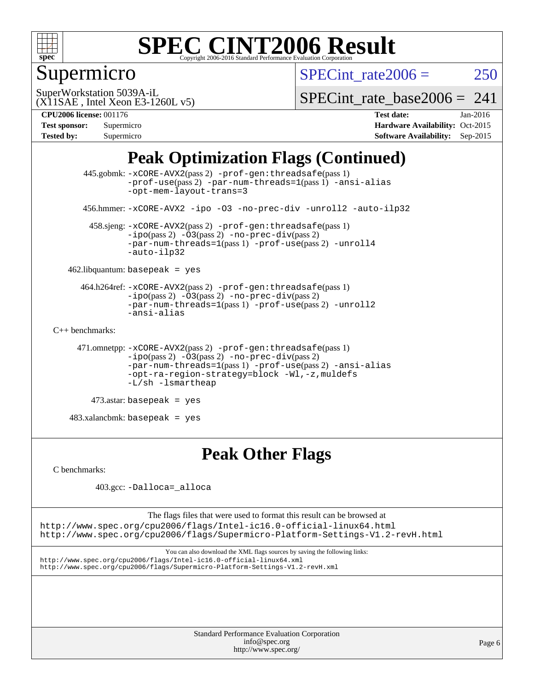

### Supermicro

SPECint rate $2006 = 250$ 

(X11SAE , Intel Xeon E3-1260L v5) SuperWorkstation 5039A-iL

SPECint rate base2006 =  $241$ 

**[CPU2006 license:](http://www.spec.org/auto/cpu2006/Docs/result-fields.html#CPU2006license)** 001176 **[Test date:](http://www.spec.org/auto/cpu2006/Docs/result-fields.html#Testdate)** Jan-2016

| <b>Test sponsor:</b> | Supermicro |
|----------------------|------------|
| <b>Tested by:</b>    | Supermicro |

**[Hardware Availability:](http://www.spec.org/auto/cpu2006/Docs/result-fields.html#HardwareAvailability)** Oct-2015 **[Software Availability:](http://www.spec.org/auto/cpu2006/Docs/result-fields.html#SoftwareAvailability)** Sep-2015

### **[Peak Optimization Flags \(Continued\)](http://www.spec.org/auto/cpu2006/Docs/result-fields.html#PeakOptimizationFlags)**

```
 445.gobmk: -xCORE-AVX2(pass 2) -prof-gen:threadsafe(pass 1)
                -prof-use(pass 2) -par-num-threads=1(pass 1) -ansi-alias
                -opt-mem-layout-trans=3
       456.hmmer: -xCORE-AVX2 -ipo -O3 -no-prec-div -unroll2 -auto-ilp32
        458.sjeng: -xCORE-AVX2(pass 2) -prof-gen:threadsafe(pass 1)
                -i\text{po}(pass 2) -\overline{O}3(pass 2)-no-prec-div(pass 2)
                -par-num-threads=1-prof-use-unroll4
                -auto-ilp32
    462.libquantum: basepeak = yes
      464.h264ref: -xCORE-AVX2(pass 2) -prof-gen:threadsafe(pass 1)
                -ipo(pass 2) -O3(pass 2) -no-prec-div(pass 2)
               -par-num-threads=1(pass 1) -prof-use(pass 2) -unroll2
                -ansi-alias
C++ benchmarks: 
      471.omnetpp: -xCORE-AVX2(pass 2) -prof-gen:threadsafe(pass 1)
               -no-prec-div(pass 2)-par-num-threads=1(pass 1) -prof-use(pass 2) -ansi-alias
                -opt-ra-region-strategy=block -Wl,-z,muldefs
                -L/sh -lsmartheap
         473.astar: basepeak = yes
    483.xalancbmk: basepeak = yes
```
#### **[Peak Other Flags](http://www.spec.org/auto/cpu2006/Docs/result-fields.html#PeakOtherFlags)**

[C benchmarks](http://www.spec.org/auto/cpu2006/Docs/result-fields.html#Cbenchmarks):

403.gcc: [-Dalloca=\\_alloca](http://www.spec.org/cpu2006/results/res2016q1/cpu2006-20160120-38757.flags.html#b403.gcc_peakEXTRA_CFLAGS_Dalloca_be3056838c12de2578596ca5467af7f3)

The flags files that were used to format this result can be browsed at <http://www.spec.org/cpu2006/flags/Intel-ic16.0-official-linux64.html> <http://www.spec.org/cpu2006/flags/Supermicro-Platform-Settings-V1.2-revH.html>

You can also download the XML flags sources by saving the following links: <http://www.spec.org/cpu2006/flags/Intel-ic16.0-official-linux64.xml> <http://www.spec.org/cpu2006/flags/Supermicro-Platform-Settings-V1.2-revH.xml>